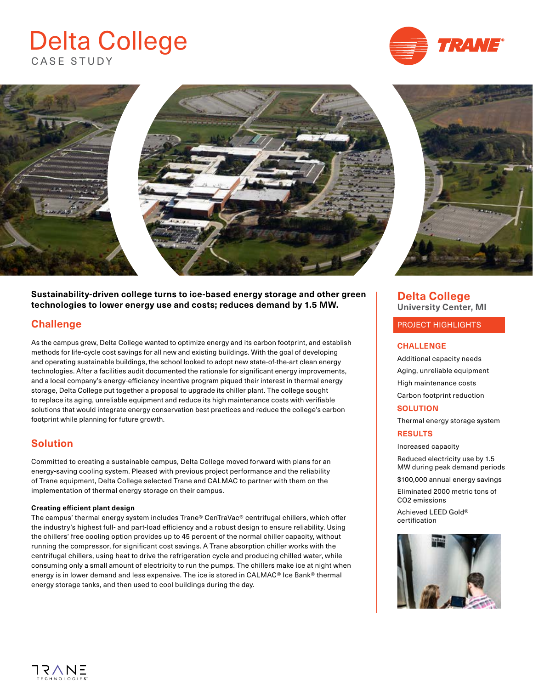# CASE STUDY Delta College





#### **Sustainability-driven college turns to ice-based energy storage and other green technologies to lower energy use and costs; reduces demand by 1.5 MW.**

## **Challenge**

As the campus grew, Delta College wanted to optimize energy and its carbon footprint, and establish methods for life-cycle cost savings for all new and existing buildings. With the goal of developing and operating sustainable buildings, the school looked to adopt new state-of-the-art clean energy technologies. After a facilities audit documented the rationale for significant energy improvements, and a local company's energy-efficiency incentive program piqued their interest in thermal energy storage, Delta College put together a proposal to upgrade its chiller plant. The college sought to replace its aging, unreliable equipment and reduce its high maintenance costs with verifiable solutions that would integrate energy conservation best practices and reduce the college's carbon footprint while planning for future growth.

## **Solution**

Committed to creating a sustainable campus, Delta College moved forward with plans for an energy-saving cooling system. Pleased with previous project performance and the reliability of Trane equipment, Delta College selected Trane and CALMAC to partner with them on the implementation of thermal energy storage on their campus.

#### **Creating efficient plant design**

The campus' thermal energy system includes Trane® CenTraVac® centrifugal chillers, which offer the industry's highest full- and part-load efficiency and a robust design to ensure reliability. Using the chillers' free cooling option provides up to 45 percent of the normal chiller capacity, without running the compressor, for significant cost savings. A Trane absorption chiller works with the centrifugal chillers, using heat to drive the refrigeration cycle and producing chilled water, while consuming only a small amount of electricity to run the pumps. The chillers make ice at night when energy is in lower demand and less expensive. The ice is stored in CALMAC® Ice Bank® thermal energy storage tanks, and then used to cool buildings during the day.

#### **Delta College University Center, MI**

#### PROJECT HIGHLIGHTS

#### **CHALLENGE**

Additional capacity needs Aging, unreliable equipment High maintenance costs Carbon footprint reduction

#### **SOLUTION**

Thermal energy storage system **RESULTS**

Increased capacity

Reduced electricity use by 1.5 MW during peak demand periods

\$100,000 annual energy savings

Eliminated 2000 metric tons of CO2 emissions

Achieved LEED Gold® certification